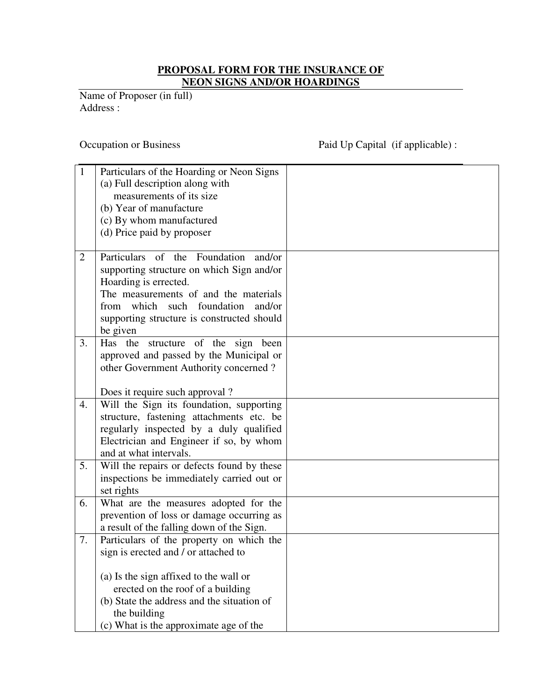# **PROPOSAL FORM FOR THE INSURANCE OF NEON SIGNS AND/OR HOARDINGS**

Name of Proposer (in full) Address :

# Occupation or Business Paid Up Capital (if applicable) :

| $\mathbf{1}$   | Particulars of the Hoarding or Neon Signs<br>(a) Full description along with          |  |
|----------------|---------------------------------------------------------------------------------------|--|
|                | measurements of its size                                                              |  |
|                | (b) Year of manufacture                                                               |  |
|                | (c) By whom manufactured                                                              |  |
|                | (d) Price paid by proposer                                                            |  |
|                |                                                                                       |  |
| $\overline{2}$ | Particulars<br>Foundation<br>of the<br>and/or                                         |  |
|                | supporting structure on which Sign and/or                                             |  |
|                | Hoarding is errected.<br>The measurements of and the materials                        |  |
|                | from<br>which such foundation<br>and/or                                               |  |
|                | supporting structure is constructed should                                            |  |
|                | be given                                                                              |  |
| 3.             | Has the structure of the sign<br>been                                                 |  |
|                | approved and passed by the Municipal or                                               |  |
|                | other Government Authority concerned?                                                 |  |
|                |                                                                                       |  |
| 4.             | Does it require such approval?<br>Will the Sign its foundation, supporting            |  |
|                | structure, fastening attachments etc. be                                              |  |
|                | regularly inspected by a duly qualified                                               |  |
|                | Electrician and Engineer if so, by whom                                               |  |
|                | and at what intervals.                                                                |  |
| 5.             | Will the repairs or defects found by these                                            |  |
|                | inspections be immediately carried out or                                             |  |
|                | set rights                                                                            |  |
| 6.             | What are the measures adopted for the                                                 |  |
|                | prevention of loss or damage occurring as                                             |  |
| 7.             | a result of the falling down of the Sign.<br>Particulars of the property on which the |  |
|                | sign is erected and / or attached to                                                  |  |
|                |                                                                                       |  |
|                | (a) Is the sign affixed to the wall or                                                |  |
|                | erected on the roof of a building                                                     |  |
|                | (b) State the address and the situation of                                            |  |
|                | the building                                                                          |  |
|                | (c) What is the approximate age of the                                                |  |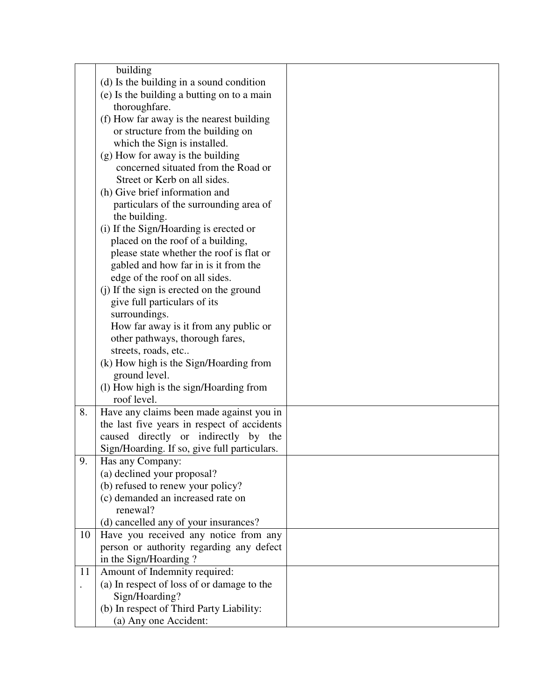|    | building                                     |  |
|----|----------------------------------------------|--|
|    |                                              |  |
|    | (d) Is the building in a sound condition     |  |
|    | (e) Is the building a butting on to a main   |  |
|    | thoroughfare.                                |  |
|    | (f) How far away is the nearest building     |  |
|    | or structure from the building on            |  |
|    | which the Sign is installed.                 |  |
|    | (g) How for away is the building             |  |
|    | concerned situated from the Road or          |  |
|    | Street or Kerb on all sides.                 |  |
|    | (h) Give brief information and               |  |
|    | particulars of the surrounding area of       |  |
|    | the building.                                |  |
|    | (i) If the Sign/Hoarding is erected or       |  |
|    | placed on the roof of a building,            |  |
|    | please state whether the roof is flat or     |  |
|    | gabled and how far in is it from the         |  |
|    | edge of the roof on all sides.               |  |
|    | (j) If the sign is erected on the ground     |  |
|    | give full particulars of its                 |  |
|    | surroundings.                                |  |
|    | How far away is it from any public or        |  |
|    | other pathways, thorough fares,              |  |
|    | streets, roads, etc                          |  |
|    | (k) How high is the Sign/Hoarding from       |  |
|    | ground level.                                |  |
|    | (1) How high is the sign/Hoarding from       |  |
|    | roof level.                                  |  |
| 8. | Have any claims been made against you in     |  |
|    | the last five years in respect of accidents  |  |
|    |                                              |  |
|    | caused directly or indirectly by the         |  |
|    | Sign/Hoarding. If so, give full particulars. |  |
| 9. | Has any Company:                             |  |
|    | (a) declined your proposal?                  |  |
|    | (b) refused to renew your policy?            |  |
|    | (c) demanded an increased rate on            |  |
|    | renewal?                                     |  |
|    | (d) cancelled any of your insurances?        |  |
| 10 | Have you received any notice from any        |  |
|    | person or authority regarding any defect     |  |
|    | in the Sign/Hoarding?                        |  |
| 11 | Amount of Indemnity required:                |  |
|    | (a) In respect of loss of or damage to the   |  |
|    | Sign/Hoarding?                               |  |
|    | (b) In respect of Third Party Liability:     |  |
|    | (a) Any one Accident:                        |  |